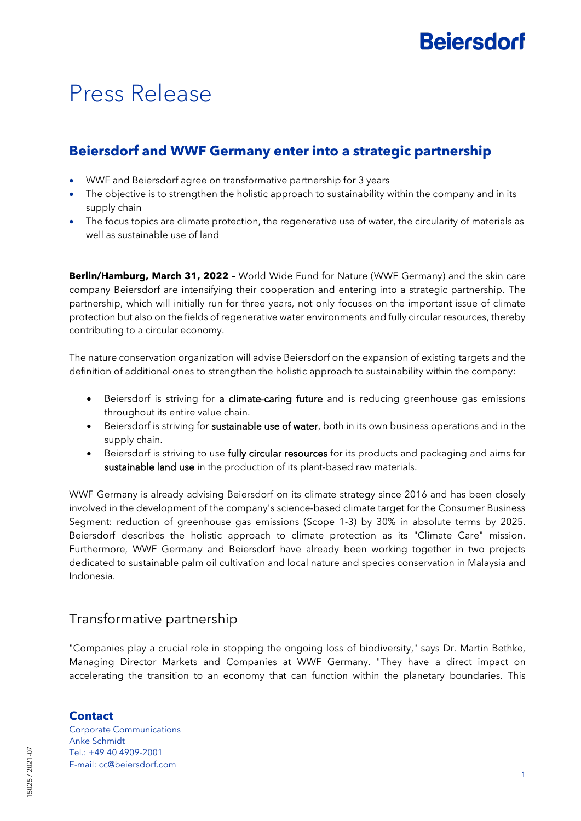# Press Release

## **Beiersdorf and WWF Germany enter into a strategic partnership**

- WWF and Beiersdorf agree on transformative partnership for 3 years
- The objective is to strengthen the holistic approach to sustainability within the company and in its supply chain
- The focus topics are climate protection, the regenerative use of water, the circularity of materials as well as sustainable use of land

**Berlin/Hamburg, March 31, 2022 –** World Wide Fund for Nature (WWF Germany) and the skin care company Beiersdorf are intensifying their cooperation and entering into a strategic partnership. The partnership, which will initially run for three years, not only focuses on the important issue of climate protection but also on the fields of regenerative water environments and fully circular resources, thereby contributing to a circular economy.

The nature conservation organization will advise Beiersdorf on the expansion of existing targets and the definition of additional ones to strengthen the holistic approach to sustainability within the company:

- Beiersdorf is striving for a climate-caring future and is reducing greenhouse gas emissions throughout its entire value chain.
- Beiersdorf is striving for sustainable use of water, both in its own business operations and in the supply chain.
- Beiersdorf is striving to use fully circular resources for its products and packaging and aims for sustainable land use in the production of its plant-based raw materials.

WWF Germany is already advising Beiersdorf on its climate strategy since 2016 and has been closely involved in the development of the company's science-based climate target for the Consumer Business Segment: reduction of greenhouse gas emissions (Scope 1-3) by 30% in absolute terms by 2025. Beiersdorf describes the holistic approach to climate protection as its "Climate Care" mission. Furthermore, WWF Germany and Beiersdorf have already been working together in two projects dedicated to sustainable palm oil cultivation and local nature and species conservation in Malaysia and Indonesia.

## Transformative partnership

"Companies play a crucial role in stopping the ongoing loss of biodiversity," says Dr. Martin Bethke, Managing Director Markets and Companies at WWF Germany. "They have a direct impact on accelerating the transition to an economy that can function within the planetary boundaries. This

### **Contact**

Corporate Communications Anke Schmidt Tel.: +49 40 4909-2001 E-mail: cc@beiersdorf.com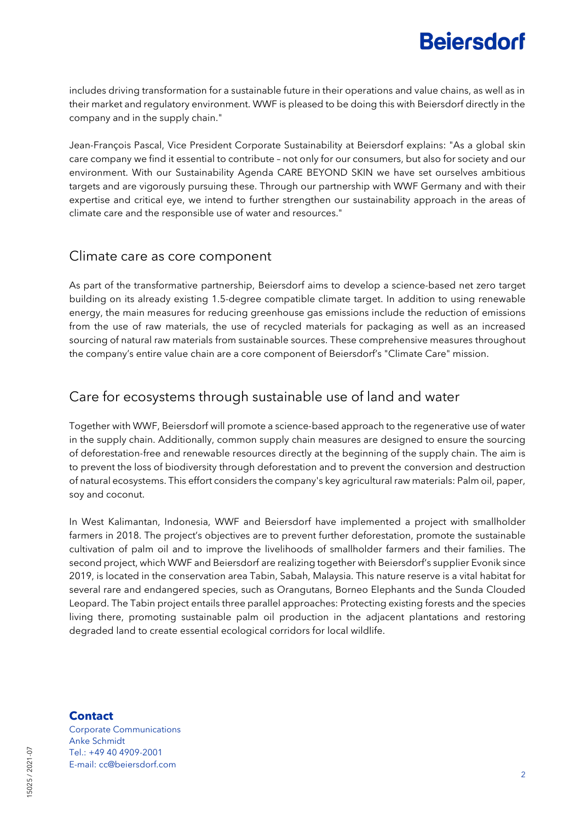## **Beiersdorf**

includes driving transformation for a sustainable future in their operations and value chains, as well as in their market and regulatory environment. WWF is pleased to be doing this with Beiersdorf directly in the company and in the supply chain."

Jean-François Pascal, Vice President Corporate Sustainability at Beiersdorf explains: "As a global skin care company we find it essential to contribute – not only for our consumers, but also for society and our environment. With our Sustainability Agenda CARE BEYOND SKIN we have set ourselves ambitious targets and are vigorously pursuing these. Through our partnership with WWF Germany and with their expertise and critical eye, we intend to further strengthen our sustainability approach in the areas of climate care and the responsible use of water and resources."

### Climate care as core component

As part of the transformative partnership, Beiersdorf aims to develop a science-based net zero target building on its already existing 1.5-degree compatible climate target. In addition to using renewable energy, the main measures for reducing greenhouse gas emissions include the reduction of emissions from the use of raw materials, the use of recycled materials for packaging as well as an increased sourcing of natural raw materials from sustainable sources. These comprehensive measures throughout the company's entire value chain are a core component of Beiersdorf's "Climate Care" mission.

### Care for ecosystems through sustainable use of land and water

Together with WWF, Beiersdorf will promote a science-based approach to the regenerative use of water in the supply chain. Additionally, common supply chain measures are designed to ensure the sourcing of deforestation-free and renewable resources directly at the beginning of the supply chain. The aim is to prevent the loss of biodiversity through deforestation and to prevent the conversion and destruction of natural ecosystems. This effort considers the company's key agricultural raw materials: Palm oil, paper, soy and coconut.

In West Kalimantan, Indonesia, WWF and Beiersdorf have implemented a project with smallholder farmers in 2018. The project's objectives are to prevent further deforestation, promote the sustainable cultivation of palm oil and to improve the livelihoods of smallholder farmers and their families. The second project, which WWF and Beiersdorf are realizing together with Beiersdorf's supplier Evonik since 2019, is located in the conservation area Tabin, Sabah, Malaysia. This nature reserve is a vital habitat for several rare and endangered species, such as Orangutans, Borneo Elephants and the Sunda Clouded Leopard. The Tabin project entails three parallel approaches: Protecting existing forests and the species living there, promoting sustainable palm oil production in the adjacent plantations and restoring degraded land to create essential ecological corridors for local wildlife.

### **Contact**

Corporate Communications Anke Schmidt Tel.: +49 40 4909-2001 E-mail: cc@beiersdorf.com